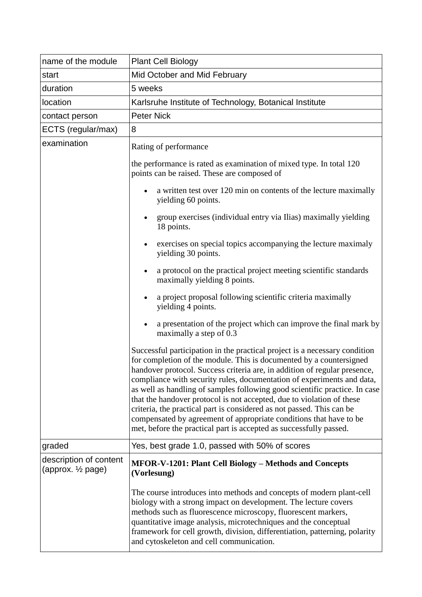| name of the module                                       | <b>Plant Cell Biology</b>                                                                                                                                                                                                                                                                                                                                                                                                                                                                                                                                                                                                                                                            |  |  |
|----------------------------------------------------------|--------------------------------------------------------------------------------------------------------------------------------------------------------------------------------------------------------------------------------------------------------------------------------------------------------------------------------------------------------------------------------------------------------------------------------------------------------------------------------------------------------------------------------------------------------------------------------------------------------------------------------------------------------------------------------------|--|--|
| start                                                    | Mid October and Mid February                                                                                                                                                                                                                                                                                                                                                                                                                                                                                                                                                                                                                                                         |  |  |
| duration                                                 | 5 weeks                                                                                                                                                                                                                                                                                                                                                                                                                                                                                                                                                                                                                                                                              |  |  |
| location                                                 | Karlsruhe Institute of Technology, Botanical Institute                                                                                                                                                                                                                                                                                                                                                                                                                                                                                                                                                                                                                               |  |  |
| contact person                                           | <b>Peter Nick</b>                                                                                                                                                                                                                                                                                                                                                                                                                                                                                                                                                                                                                                                                    |  |  |
| ECTS (regular/max)                                       | 8                                                                                                                                                                                                                                                                                                                                                                                                                                                                                                                                                                                                                                                                                    |  |  |
| examination                                              | Rating of performance                                                                                                                                                                                                                                                                                                                                                                                                                                                                                                                                                                                                                                                                |  |  |
|                                                          | the performance is rated as examination of mixed type. In total 120<br>points can be raised. These are composed of                                                                                                                                                                                                                                                                                                                                                                                                                                                                                                                                                                   |  |  |
|                                                          | a written test over 120 min on contents of the lecture maximally<br>yielding 60 points.                                                                                                                                                                                                                                                                                                                                                                                                                                                                                                                                                                                              |  |  |
|                                                          | group exercises (individual entry via Ilias) maximally yielding<br>18 points.                                                                                                                                                                                                                                                                                                                                                                                                                                                                                                                                                                                                        |  |  |
|                                                          | exercises on special topics accompanying the lecture maximaly<br>$\bullet$<br>yielding 30 points.                                                                                                                                                                                                                                                                                                                                                                                                                                                                                                                                                                                    |  |  |
|                                                          | a protocol on the practical project meeting scientific standards<br>maximally yielding 8 points.                                                                                                                                                                                                                                                                                                                                                                                                                                                                                                                                                                                     |  |  |
|                                                          | a project proposal following scientific criteria maximally<br>yielding 4 points.                                                                                                                                                                                                                                                                                                                                                                                                                                                                                                                                                                                                     |  |  |
|                                                          | a presentation of the project which can improve the final mark by<br>maximally a step of 0.3                                                                                                                                                                                                                                                                                                                                                                                                                                                                                                                                                                                         |  |  |
|                                                          | Successful participation in the practical project is a necessary condition<br>for completion of the module. This is documented by a countersigned<br>handover protocol. Success criteria are, in addition of regular presence,<br>compliance with security rules, documentation of experiments and data,<br>as well as handling of samples following good scientific practice. In case<br>that the handover protocol is not accepted, due to violation of these<br>criteria, the practical part is considered as not passed. This can be<br>compensated by agreement of appropriate conditions that have to be<br>met, before the practical part is accepted as successfully passed. |  |  |
| graded                                                   | Yes, best grade 1.0, passed with 50% of scores                                                                                                                                                                                                                                                                                                                                                                                                                                                                                                                                                                                                                                       |  |  |
| description of content<br>(approx. 1/ <sub>2</sub> page) | <b>MFOR-V-1201: Plant Cell Biology - Methods and Concepts</b><br>(Vorlesung)                                                                                                                                                                                                                                                                                                                                                                                                                                                                                                                                                                                                         |  |  |
|                                                          | The course introduces into methods and concepts of modern plant-cell<br>biology with a strong impact on development. The lecture covers<br>methods such as fluorescence microscopy, fluorescent markers,<br>quantitative image analysis, microtechniques and the conceptual<br>framework for cell growth, division, differentiation, patterning, polarity<br>and cytoskeleton and cell communication.                                                                                                                                                                                                                                                                                |  |  |